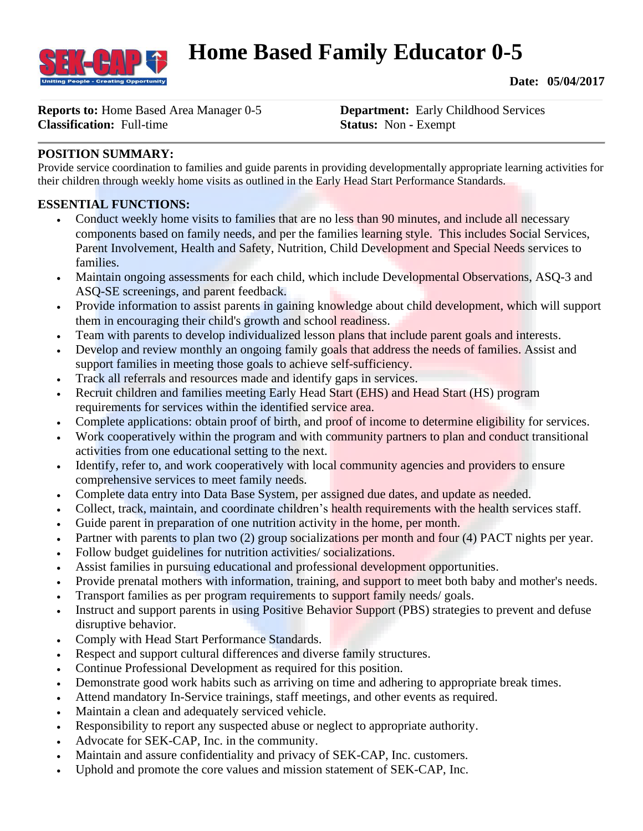

# **Home Based Family Educator 0-5**

**Date: 05/04/2017**

**Reports to:** Home Based Area Manager 0-5 **Department:** Early Childhood Services **Classification:** Full-time **Status:** Non **-** Exempt

## **POSITION SUMMARY:**

Provide service coordination to families and guide parents in providing developmentally appropriate learning activities for their children through weekly home visits as outlined in the Early Head Start Performance Standards.

### **ESSENTIAL FUNCTIONS:**

- Conduct weekly home visits to families that are no less than 90 minutes, and include all necessary components based on family needs, and per the families learning style. This includes Social Services, Parent Involvement, Health and Safety, Nutrition, Child Development and Special Needs services to families.
- Maintain ongoing assessments for each child, which include Developmental Observations, ASQ-3 and ASQ-SE screenings, and parent feedback.
- Provide information to assist parents in gaining knowledge about child development, which will support them in encouraging their child's growth and school readiness.
- Team with parents to develop individualized lesson plans that include parent goals and interests.
- Develop and review monthly an ongoing family goals that address the needs of families. Assist and support families in meeting those goals to achieve self-sufficiency.
- Track all referrals and resources made and identify gaps in services.
- Recruit children and families meeting Early Head Start (EHS) and Head Start (HS) program requirements for services within the identified service area.
- Complete applications: obtain proof of birth, and proof of income to determine eligibility for services.
- Work cooperatively within the program and with community partners to plan and conduct transitional activities from one educational setting to the next.
- Identify, refer to, and work cooperatively with local community agencies and providers to ensure comprehensive services to meet family needs.
- Complete data entry into Data Base System, per assigned due dates, and update as needed.
- Collect, track, maintain, and coordinate children's health requirements with the health services staff.
- Guide parent in preparation of one nutrition activity in the home, per month.
- Partner with parents to plan two (2) group socializations per month and four (4) PACT nights per year.
- Follow budget guidelines for nutrition activities/ socializations.
- Assist families in pursuing educational and professional development opportunities.
- Provide prenatal mothers with information, training, and support to meet both baby and mother's needs.
- Transport families as per program requirements to support family needs/ goals.
- Instruct and support parents in using Positive Behavior Support (PBS) strategies to prevent and defuse disruptive behavior.
- Comply with Head Start Performance Standards.
- Respect and support cultural differences and diverse family structures.
- Continue Professional Development as required for this position.
- Demonstrate good work habits such as arriving on time and adhering to appropriate break times.
- Attend mandatory In-Service trainings, staff meetings, and other events as required.
- Maintain a clean and adequately serviced vehicle.
- Responsibility to report any suspected abuse or neglect to appropriate authority.
- Advocate for SEK-CAP, Inc. in the community.
- Maintain and assure confidentiality and privacy of SEK-CAP, Inc. customers.
- Uphold and promote the core values and mission statement of SEK-CAP, Inc.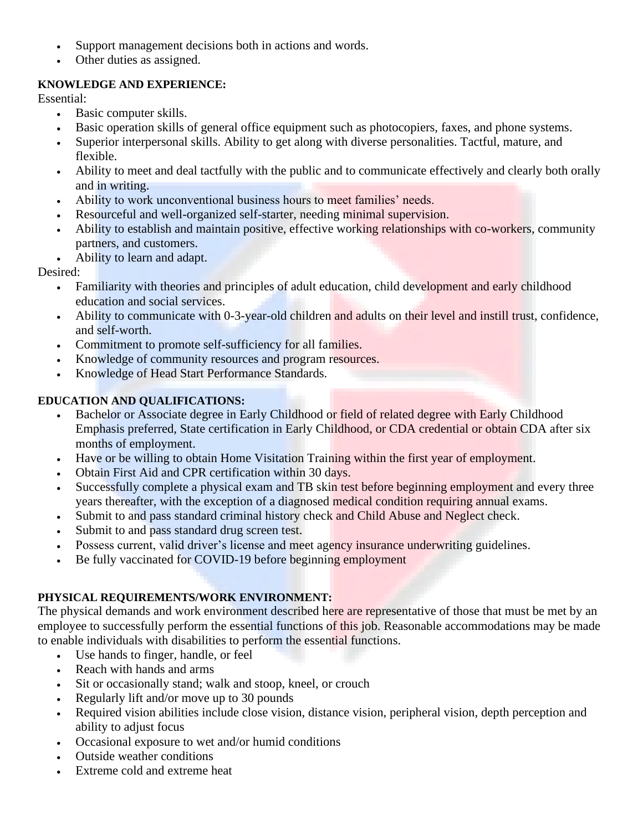- Support management decisions both in actions and words.
- Other duties as assigned.

#### **KNOWLEDGE AND EXPERIENCE:**

Essential:

- Basic computer skills.
- Basic operation skills of general office equipment such as photocopiers, faxes, and phone systems.
- Superior interpersonal skills. Ability to get along with diverse personalities. Tactful, mature, and flexible.
- Ability to meet and deal tactfully with the public and to communicate effectively and clearly both orally and in writing.
- Ability to work unconventional business hours to meet families' needs.
- Resourceful and well-organized self-starter, needing minimal supervision.
- Ability to establish and maintain positive, effective working relationships with co-workers, community partners, and customers.
- Ability to learn and adapt.

Desired:

- Familiarity with theories and principles of adult education, child development and early childhood education and social services.
- Ability to communicate with 0-3-year-old children and adults on their level and instill trust, confidence, and self-worth.
- Commitment to promote self-sufficiency for all families.
- Knowledge of community resources and program resources.
- Knowledge of Head Start Performance Standards.

#### **EDUCATION AND QUALIFICATIONS:**

- Bachelor or Associate degree in Early Childhood or field of related degree with Early Childhood Emphasis preferred, State certification in Early Childhood, or CDA credential or obtain CDA after six months of employment.
- Have or be willing to obtain Home Visitation Training within the first year of employment.
- Obtain First Aid and CPR certification within 30 days.
- Successfully complete a physical exam and TB skin test before beginning employment and every three years thereafter, with the exception of a diagnosed medical condition requiring annual exams.
- Submit to and pass standard criminal history check and Child Abuse and Neglect check.
- Submit to and pass standard drug screen test.
- Possess current, valid driver's license and meet agency insurance underwriting guidelines.
- Be fully vaccinated for COVID-19 before beginning employment

## **PHYSICAL REQUIREMENTS/WORK ENVIRONMENT:**

The physical demands and work environment described here are representative of those that must be met by an employee to successfully perform the essential functions of this job. Reasonable accommodations may be made to enable individuals with disabilities to perform the essential functions.

- Use hands to finger, handle, or feel
- Reach with hands and arms
- Sit or occasionally stand; walk and stoop, kneel, or crouch
- Regularly lift and/or move up to 30 pounds
- Required vision abilities include close vision, distance vision, peripheral vision, depth perception and ability to adjust focus
- Occasional exposure to wet and/or humid conditions
- Outside weather conditions
- Extreme cold and extreme heat